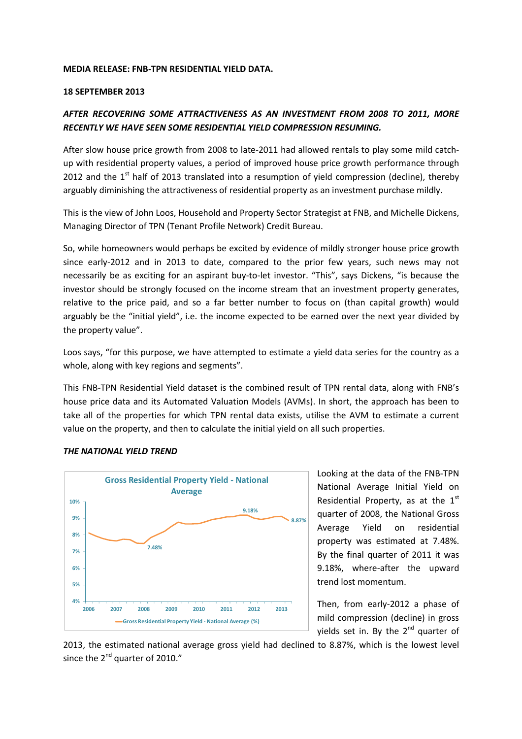#### MEDIA RELEASE: FNB-TPN RESIDENTIAL YIELD DATA.

#### 18 SEPTEMBER 2013

# AFTER RECOVERING SOME ATTRACTIVENESS AS AN INVESTMENT FROM 2008 TO 2011, MORE RECENTLY WE HAVE SEEN SOME RESIDENTIAL YIELD COMPRESSION RESUMING.

After slow house price growth from 2008 to late-2011 had allowed rentals to play some mild catchup with residential property values, a period of improved house price growth performance through 2012 and the  $1<sup>st</sup>$  half of 2013 translated into a resumption of yield compression (decline), thereby arguably diminishing the attractiveness of residential property as an investment purchase mildly.

This is the view of John Loos, Household and Property Sector Strategist at FNB, and Michelle Dickens, Managing Director of TPN (Tenant Profile Network) Credit Bureau.

So, while homeowners would perhaps be excited by evidence of mildly stronger house price growth since early-2012 and in 2013 to date, compared to the prior few years, such news may not necessarily be as exciting for an aspirant buy-to-let investor. "This", says Dickens, "is because the investor should be strongly focused on the income stream that an investment property generates, relative to the price paid, and so a far better number to focus on (than capital growth) would arguably be the "initial yield", i.e. the income expected to be earned over the next year divided by the property value".

Loos says, "for this purpose, we have attempted to estimate a yield data series for the country as a whole, along with key regions and segments".

This FNB-TPN Residential Yield dataset is the combined result of TPN rental data, along with FNB's house price data and its Automated Valuation Models (AVMs). In short, the approach has been to take all of the properties for which TPN rental data exists, utilise the AVM to estimate a current value on the property, and then to calculate the initial yield on all such properties.



#### THE NATIONAL YIELD TREND

Looking at the data of the FNB-TPN National Average Initial Yield on Residential Property, as at the  $1<sup>st</sup>$ quarter of 2008, the National Gross Average Yield on residential property was estimated at 7.48%. By the final quarter of 2011 it was 9.18%, where-after the upward trend lost momentum.

Then, from early-2012 a phase of mild compression (decline) in gross yields set in. By the  $2^{nd}$  quarter of

2013, the estimated national average gross yield had declined to 8.87%, which is the lowest level since the  $2^{nd}$  quarter of 2010."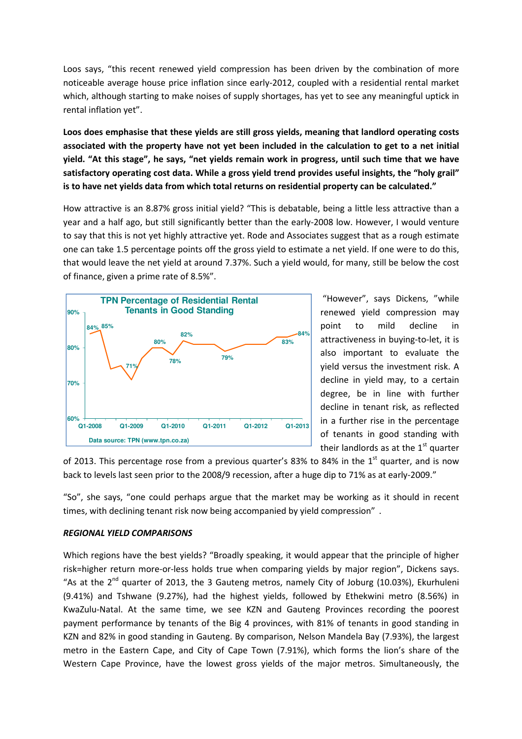Loos says, "this recent renewed yield compression has been driven by the combination of more noticeable average house price inflation since early-2012, coupled with a residential rental market which, although starting to make noises of supply shortages, has yet to see any meaningful uptick in rental inflation yet".

Loos does emphasise that these yields are still gross yields, meaning that landlord operating costs associated with the property have not yet been included in the calculation to get to a net initial yield. "At this stage", he says, "net yields remain work in progress, until such time that we have satisfactory operating cost data. While a gross yield trend provides useful insights, the "holy grail" is to have net yields data from which total returns on residential property can be calculated."

How attractive is an 8.87% gross initial yield? "This is debatable, being a little less attractive than a year and a half ago, but still significantly better than the early-2008 low. However, I would venture to say that this is not yet highly attractive yet. Rode and Associates suggest that as a rough estimate one can take 1.5 percentage points off the gross yield to estimate a net yield. If one were to do this, that would leave the net yield at around 7.37%. Such a yield would, for many, still be below the cost of finance, given a prime rate of 8.5%".



 "However", says Dickens, "while renewed yield compression may point to mild decline in attractiveness in buying-to-let, it is also important to evaluate the yield versus the investment risk. A decline in yield may, to a certain degree, be in line with further decline in tenant risk, as reflected in a further rise in the percentage of tenants in good standing with their landlords as at the  $1<sup>st</sup>$  quarter

of 2013. This percentage rose from a previous quarter's 83% to 84% in the  $1<sup>st</sup>$  quarter, and is now back to levels last seen prior to the 2008/9 recession, after a huge dip to 71% as at early-2009."

"So", she says, "one could perhaps argue that the market may be working as it should in recent times, with declining tenant risk now being accompanied by yield compression" .

### REGIONAL YIELD COMPARISONS

Which regions have the best yields? "Broadly speaking, it would appear that the principle of higher risk=higher return more-or-less holds true when comparing yields by major region", Dickens says. "As at the  $2^{nd}$  quarter of 2013, the 3 Gauteng metros, namely City of Joburg (10.03%), Ekurhuleni (9.41%) and Tshwane (9.27%), had the highest yields, followed by Ethekwini metro (8.56%) in KwaZulu-Natal. At the same time, we see KZN and Gauteng Provinces recording the poorest payment performance by tenants of the Big 4 provinces, with 81% of tenants in good standing in KZN and 82% in good standing in Gauteng. By comparison, Nelson Mandela Bay (7.93%), the largest metro in the Eastern Cape, and City of Cape Town (7.91%), which forms the lion's share of the Western Cape Province, have the lowest gross yields of the major metros. Simultaneously, the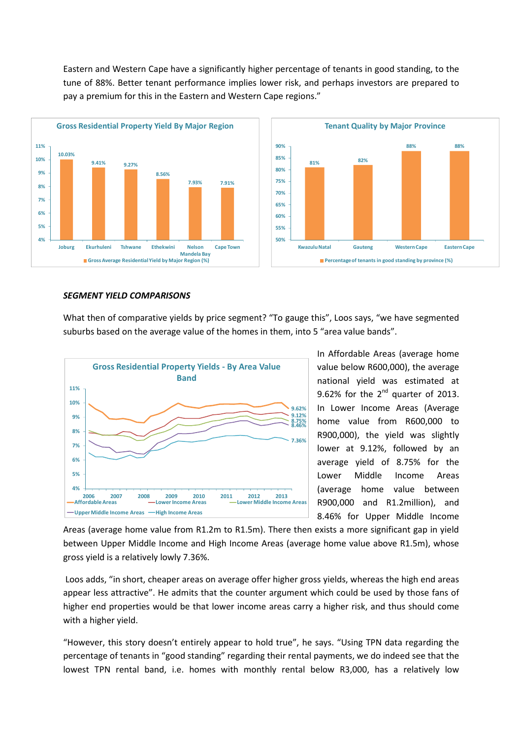Eastern and Western Cape have a significantly higher percentage of tenants in good standing, to the tune of 88%. Better tenant performance implies lower risk, and perhaps investors are prepared to pay a premium for this in the Eastern and Western Cape regions."



#### SEGMENT YIELD COMPARISONS

What then of comparative yields by price segment? "To gauge this", Loos says, "we have segmented suburbs based on the average value of the homes in them, into 5 "area value bands".



In Affordable Areas (average home value below R600,000), the average national yield was estimated at 9.62% for the  $2^{nd}$  quarter of 2013. In Lower Income Areas (Average home value from R600,000 to R900,000), the yield was slightly lower at 9.12%, followed by an average yield of 8.75% for the Lower Middle Income Areas (average home value between R900,000 and R1.2million), and 8.46% for Upper Middle Income

Areas (average home value from R1.2m to R1.5m). There then exists a more significant gap in yield between Upper Middle Income and High Income Areas (average home value above R1.5m), whose gross yield is a relatively lowly 7.36%.

 Loos adds, "in short, cheaper areas on average offer higher gross yields, whereas the high end areas appear less attractive". He admits that the counter argument which could be used by those fans of higher end properties would be that lower income areas carry a higher risk, and thus should come with a higher yield.

"However, this story doesn't entirely appear to hold true", he says. "Using TPN data regarding the percentage of tenants in "good standing" regarding their rental payments, we do indeed see that the lowest TPN rental band, i.e. homes with monthly rental below R3,000, has a relatively low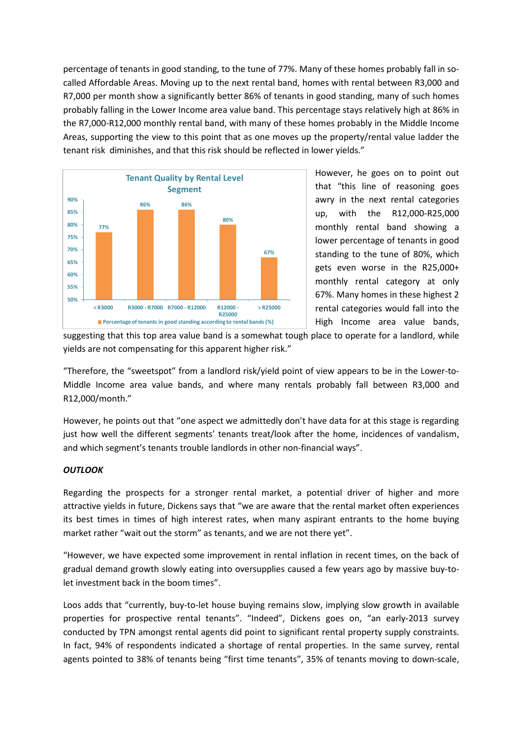percentage of tenants in good standing, to the tune of 77%. Many of these homes probably fall in socalled Affordable Areas. Moving up to the next rental band, homes with rental between R3,000 and R7,000 per month show a significantly better 86% of tenants in good standing, many of such homes probably falling in the Lower Income area value band. This percentage stays relatively high at 86% in the R7,000-R12,000 monthly rental band, with many of these homes probably in the Middle Income Areas, supporting the view to this point that as one moves up the property/rental value ladder the tenant risk diminishes, and that this risk should be reflected in lower yields."



However, he goes on to point out that "this line of reasoning goes awry in the next rental categories up, with the R12,000-R25,000 monthly rental band showing a lower percentage of tenants in good standing to the tune of 80%, which gets even worse in the R25,000+ monthly rental category at only 67%. Many homes in these highest 2 rental categories would fall into the High Income area value bands,

suggesting that this top area value band is a somewhat tough place to operate for a landlord, while yields are not compensating for this apparent higher risk."

"Therefore, the "sweetspot" from a landlord risk/yield point of view appears to be in the Lower-to-Middle Income area value bands, and where many rentals probably fall between R3,000 and R12,000/month."

However, he points out that "one aspect we admittedly don't have data for at this stage is regarding just how well the different segments' tenants treat/look after the home, incidences of vandalism, and which segment's tenants trouble landlords in other non-financial ways".

## **OUTLOOK**

Regarding the prospects for a stronger rental market, a potential driver of higher and more attractive yields in future, Dickens says that "we are aware that the rental market often experiences its best times in times of high interest rates, when many aspirant entrants to the home buying market rather "wait out the storm" as tenants, and we are not there yet".

"However, we have expected some improvement in rental inflation in recent times, on the back of gradual demand growth slowly eating into oversupplies caused a few years ago by massive buy-tolet investment back in the boom times".

Loos adds that "currently, buy-to-let house buying remains slow, implying slow growth in available properties for prospective rental tenants". "Indeed", Dickens goes on, "an early-2013 survey conducted by TPN amongst rental agents did point to significant rental property supply constraints. In fact, 94% of respondents indicated a shortage of rental properties. In the same survey, rental agents pointed to 38% of tenants being "first time tenants", 35% of tenants moving to down-scale,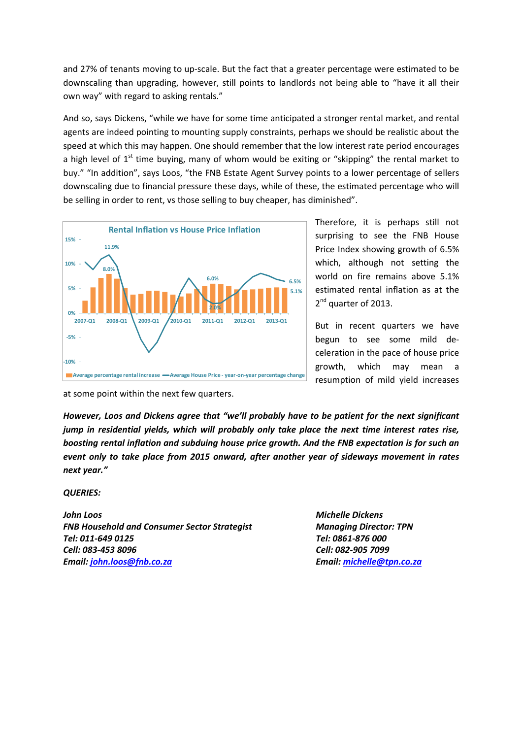and 27% of tenants moving to up-scale. But the fact that a greater percentage were estimated to be downscaling than upgrading, however, still points to landlords not being able to "have it all their own way" with regard to asking rentals."

And so, says Dickens, "while we have for some time anticipated a stronger rental market, and rental agents are indeed pointing to mounting supply constraints, perhaps we should be realistic about the speed at which this may happen. One should remember that the low interest rate period encourages a high level of  $1<sup>st</sup>$  time buying, many of whom would be exiting or "skipping" the rental market to buy." "In addition", says Loos, "the FNB Estate Agent Survey points to a lower percentage of sellers downscaling due to financial pressure these days, while of these, the estimated percentage who will be selling in order to rent, vs those selling to buy cheaper, has diminished".



Therefore, it is perhaps still not surprising to see the FNB House Price Index showing growth of 6.5% which, although not setting the world on fire remains above 5.1% estimated rental inflation as at the 2<sup>nd</sup> quarter of 2013.

But in recent quarters we have begun to see some mild deceleration in the pace of house price growth, which may mean a resumption of mild yield increases

at some point within the next few quarters.

However, Loos and Dickens agree that "we'll probably have to be patient for the next significant jump in residential yields, which will probably only take place the next time interest rates rise, boosting rental inflation and subduing house price growth. And the FNB expectation is for such an event only to take place from 2015 onward, after another year of sideways movement in rates next year."

### QUERIES:

John Loos Michelle Dickens FNB Household and Consumer Sector Strategist Managing Director: TPN Tel: 011-649 0125 Tel: 0861-876 000 Cell: 083-453 8096 Cell: 082-905 7099 Email: john.loos@fnb.co.za Email: michelle@tpn.co.za